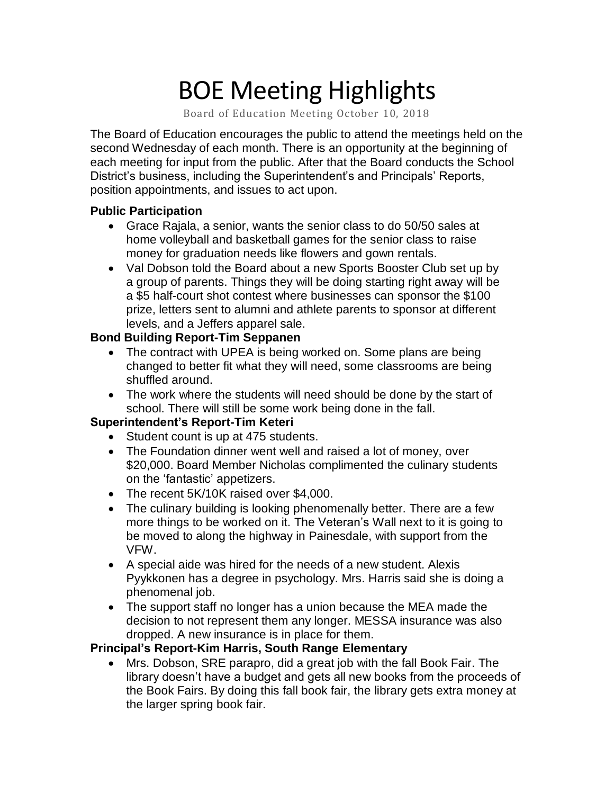# BOE Meeting Highlights

Board of Education Meeting October 10, 2018

 The Board of Education encourages the public to attend the meetings held on the second Wednesday of each month. There is an opportunity at the beginning of each meeting for input from the public. After that the Board conducts the School District's business, including the Superintendent's and Principals' Reports, position appointments, and issues to act upon.

#### **Public Participation**

- • Grace Rajala, a senior, wants the senior class to do 50/50 sales at home volleyball and basketball games for the senior class to raise money for graduation needs like flowers and gown rentals.
- • Val Dobson told the Board about a new Sports Booster Club set up by a group of parents. Things they will be doing starting right away will be a \$5 half-court shot contest where businesses can sponsor the \$100 prize, letters sent to alumni and athlete parents to sponsor at different levels, and a Jeffers apparel sale.

## **Bond Building Report-Tim Seppanen**

- • The contract with UPEA is being worked on. Some plans are being changed to better fit what they will need, some classrooms are being shuffled around.
- • The work where the students will need should be done by the start of school. There will still be some work being done in the fall.

## **Superintendent's Report-Tim Keteri**

- Student count is up at 475 students.
- The Foundation dinner went well and raised a lot of money, over \$20,000. Board Member Nicholas complimented the culinary students on the 'fantastic' appetizers.
- The recent 5K/10K raised over \$4,000.
- The culinary building is looking phenomenally better. There are a few more things to be worked on it. The Veteran's Wall next to it is going to be moved to along the highway in Painesdale, with support from the VFW.
- A special aide was hired for the needs of a new student. Alexis Pyykkonen has a degree in psychology. Mrs. Harris said she is doing a phenomenal job.
- The support staff no longer has a union because the MEA made the decision to not represent them any longer. MESSA insurance was also dropped. A new insurance is in place for them.

#### **Principal's Report-Kim Harris, South Range Elementary**

 • Mrs. Dobson, SRE parapro, did a great job with the fall Book Fair. The library doesn't have a budget and gets all new books from the proceeds of the Book Fairs. By doing this fall book fair, the library gets extra money at the larger spring book fair.